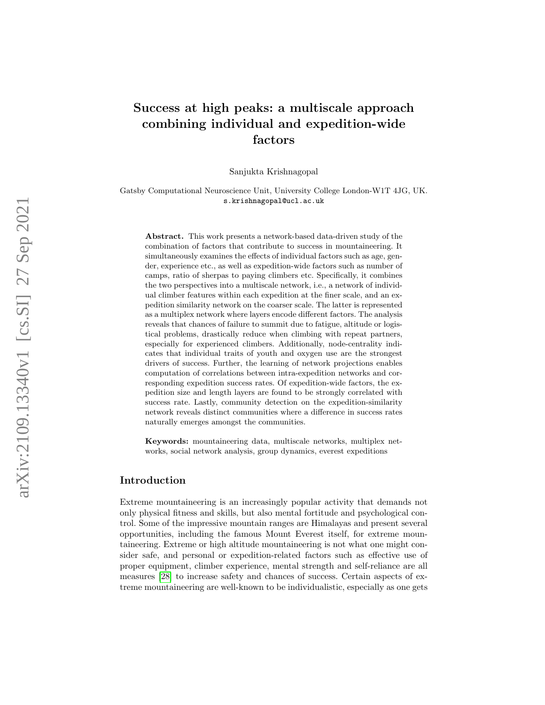# Success at high peaks: a multiscale approach combining individual and expedition-wide factors

Sanjukta Krishnagopal

Gatsby Computational Neuroscience Unit, University College London-W1T 4JG, UK. s.krishnagopal@ucl.ac.uk

Abstract. This work presents a network-based data-driven study of the combination of factors that contribute to success in mountaineering. It simultaneously examines the effects of individual factors such as age, gender, experience etc., as well as expedition-wide factors such as number of camps, ratio of sherpas to paying climbers etc. Specifically, it combines the two perspectives into a multiscale network, i.e., a network of individual climber features within each expedition at the finer scale, and an expedition similarity network on the coarser scale. The latter is represented as a multiplex network where layers encode different factors. The analysis reveals that chances of failure to summit due to fatigue, altitude or logistical problems, drastically reduce when climbing with repeat partners, especially for experienced climbers. Additionally, node-centrality indicates that individual traits of youth and oxygen use are the strongest drivers of success. Further, the learning of network projections enables computation of correlations between intra-expedition networks and corresponding expedition success rates. Of expedition-wide factors, the expedition size and length layers are found to be strongly correlated with success rate. Lastly, community detection on the expedition-similarity network reveals distinct communities where a difference in success rates naturally emerges amongst the communities.

Keywords: mountaineering data, multiscale networks, multiplex networks, social network analysis, group dynamics, everest expeditions

# Introduction

Extreme mountaineering is an increasingly popular activity that demands not only physical fitness and skills, but also mental fortitude and psychological control. Some of the impressive mountain ranges are Himalayas and present several opportunities, including the famous Mount Everest itself, for extreme mountaineering. Extreme or high altitude mountaineering is not what one might consider safe, and personal or expedition-related factors such as effective use of proper equipment, climber experience, mental strength and self-reliance are all measures [\[28\]](#page-11-0) to increase safety and chances of success. Certain aspects of extreme mountaineering are well-known to be individualistic, especially as one gets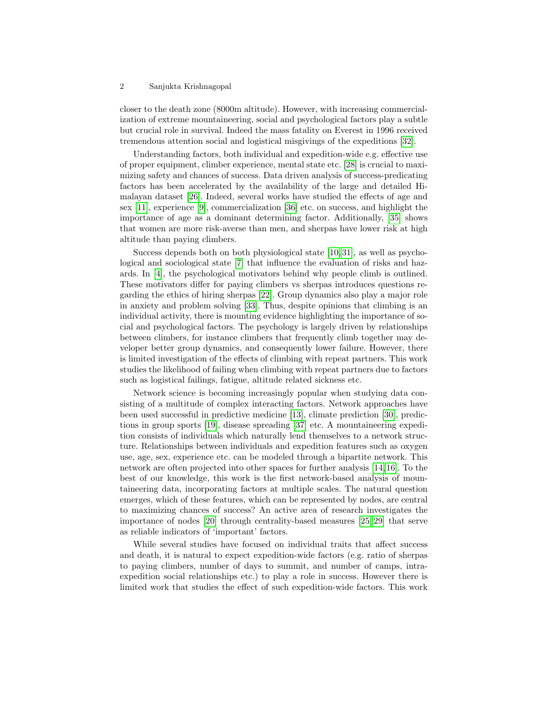#### 2 Sanjukta Krishnagopal

closer to the death zone (8000m altitude). However, with increasing commercialization of extreme mountaineering, social and psychological factors play a subtle but crucial role in survival. Indeed the mass fatality on Everest in 1996 received tremendous attention social and logistical misgivings of the expeditions [\[32\]](#page-11-1).

Understanding factors, both individual and expedition-wide e.g. effective use of proper equipment, climber experience, mental state etc. [\[28\]](#page-11-0) is crucial to maximizing safety and chances of success. Data driven analysis of success-predicating factors has been accelerated by the availability of the large and detailed Himalayan dataset [\[26\]](#page-11-2). Indeed, several works have studied the effects of age and sex [\[11\]](#page-10-0), experience [\[9\]](#page-10-1), commercialization [\[36\]](#page-11-3) etc. on success, and highlight the importance of age as a dominant determining factor. Additionally, [\[35\]](#page-11-4) shows that women are more risk-averse than men, and sherpas have lower risk at high altitude than paying climbers.

Success depends both on both physiological state [\[10,](#page-10-2) [31\]](#page-11-5), as well as psychological and sociological state [\[7\]](#page-10-3) that influence the evaluation of risks and hazards. In [\[4\]](#page-10-4), the psychological motivators behind why people climb is outlined. These motivators differ for paying climbers vs sherpas introduces questions regarding the ethics of hiring sherpas [\[22\]](#page-11-6). Group dynamics also play a major role in anxiety and problem solving [\[33\]](#page-11-7). Thus, despite opinions that climbing is an individual activity, there is mounting evidence highlighting the importance of social and psychological factors. The psychology is largely driven by relationships between climbers, for instance climbers that frequently climb together may developer better group dynamics, and consequently lower failure. However, there is limited investigation of the effects of climbing with repeat partners. This work studies the likelihood of failing when climbing with repeat partners due to factors such as logistical failings, fatigue, altitude related sickness etc.

Network science is becoming increasingly popular when studying data consisting of a multitude of complex interacting factors. Network approaches have been used successful in predictive medicine [\[13\]](#page-10-5), climate prediction [\[30\]](#page-11-8), predictions in group sports [\[19\]](#page-10-6), disease spreading [\[37\]](#page-11-9) etc. A mountaineering expedition consists of individuals which naturally lend themselves to a network structure. Relationships between individuals and expedition features such as oxygen use, age, sex, experience etc. can be modeled through a bipartite network. This network are often projected into other spaces for further analysis [\[14,](#page-10-7)[16\]](#page-10-8). To the best of our knowledge, this work is the first network-based analysis of mountaineering data, incorporating factors at multiple scales. The natural question emerges, which of these features, which can be represented by nodes, are central to maximizing chances of success? An active area of research investigates the importance of nodes [\[20\]](#page-11-10) through centrality-based measures [\[25,](#page-11-11) [29\]](#page-11-12) that serve as reliable indicators of 'important' factors.

While several studies have focused on individual traits that affect success and death, it is natural to expect expedition-wide factors (e.g. ratio of sherpas to paying climbers, number of days to summit, and number of camps, intraexpedition social relationships etc.) to play a role in success. However there is limited work that studies the effect of such expedition-wide factors. This work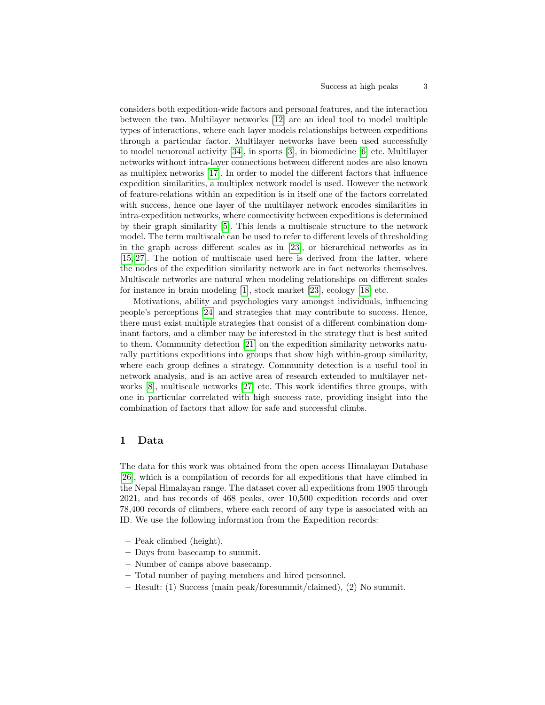considers both expedition-wide factors and personal features, and the interaction between the two. Multilayer networks [\[12\]](#page-10-9) are an ideal tool to model multiple types of interactions, where each layer models relationships between expeditions through a particular factor. Multilayer networks have been used successfully to model neuoronal activity [\[34\]](#page-11-13), in sports [\[3\]](#page-10-10), in biomedicine [\[6\]](#page-10-11) etc. Multilayer networks without intra-layer connections between different nodes are also known as multiplex networks [\[17\]](#page-10-12). In order to model the different factors that influence expedition similarities, a multiplex network model is used. However the network of feature-relations within an expedition is in itself one of the factors correlated with success, hence one layer of the multilayer network encodes similarities in intra-expedition networks, where connectivity between expeditions is determined by their graph similarity [\[5\]](#page-10-13). This lends a multiscale structure to the network model. The term multiscale can be used to refer to different levels of thresholding in the graph across different scales as in [\[23\]](#page-11-14), or hierarchical networks as in [\[15,](#page-10-14) [27\]](#page-11-15). The notion of multiscale used here is derived from the latter, where the nodes of the expedition similarity network are in fact networks themselves. Multiscale networks are natural when modeling relationships on different scales for instance in brain modeling [\[1\]](#page-10-15), stock market [\[23\]](#page-11-14), ecology [\[18\]](#page-10-16) etc.

Motivations, ability and psychologies vary amongst individuals, influencing people's perceptions [\[24\]](#page-11-16) and strategies that may contribute to success. Hence, there must exist multiple strategies that consist of a different combination dominant factors, and a climber may be interested in the strategy that is best suited to them. Community detection [\[21\]](#page-11-17) on the expedition similarity networks naturally partitions expeditions into groups that show high within-group similarity, where each group defines a strategy. Community detection is a useful tool in network analysis, and is an active area of research extended to multilayer networks [\[8\]](#page-10-17), multiscale networks [\[27\]](#page-11-15) etc. This work identifies three groups, with one in particular correlated with high success rate, providing insight into the combination of factors that allow for safe and successful climbs.

# 1 Data

The data for this work was obtained from the open access Himalayan Database [\[26\]](#page-11-2), which is a compilation of records for all expeditions that have climbed in the Nepal Himalayan range. The dataset cover all expeditions from 1905 through 2021, and has records of 468 peaks, over 10,500 expedition records and over 78,400 records of climbers, where each record of any type is associated with an ID. We use the following information from the Expedition records:

- Peak climbed (height).
- Days from basecamp to summit.
- Number of camps above basecamp.
- Total number of paying members and hired personnel.
- Result: (1) Success (main peak/foresummit/claimed), (2) No summit.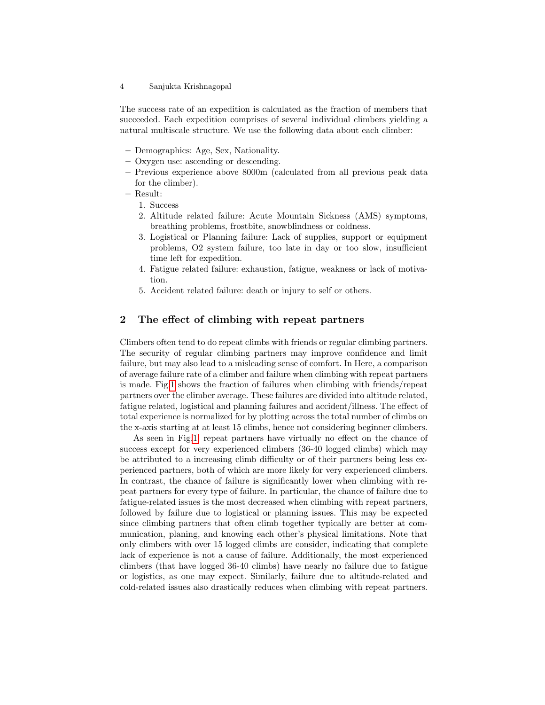The success rate of an expedition is calculated as the fraction of members that succeeded. Each expedition comprises of several individual climbers yielding a natural multiscale structure. We use the following data about each climber:

- Demographics: Age, Sex, Nationality.
- Oxygen use: ascending or descending.
- Previous experience above 8000m (calculated from all previous peak data for the climber).
- Result:
	- 1. Success
	- 2. Altitude related failure: Acute Mountain Sickness (AMS) symptoms, breathing problems, frostbite, snowblindness or coldness.
	- 3. Logistical or Planning failure: Lack of supplies, support or equipment problems, O2 system failure, too late in day or too slow, insufficient time left for expedition.
	- 4. Fatigue related failure: exhaustion, fatigue, weakness or lack of motivation.
	- 5. Accident related failure: death or injury to self or others.

### 2 The effect of climbing with repeat partners

Climbers often tend to do repeat climbs with friends or regular climbing partners. The security of regular climbing partners may improve confidence and limit failure, but may also lead to a misleading sense of comfort. In Here, a comparison of average failure rate of a climber and failure when climbing with repeat partners is made. Fig[.1](#page-4-0) shows the fraction of failures when climbing with friends/repeat partners over the climber average. These failures are divided into altitude related, fatigue related, logistical and planning failures and accident/illness. The effect of total experience is normalized for by plotting across the total number of climbs on the x-axis starting at at least 15 climbs, hence not considering beginner climbers.

As seen in Fig[.1,](#page-4-0) repeat partners have virtually no effect on the chance of success except for very experienced climbers (36-40 logged climbs) which may be attributed to a increasing climb difficulty or of their partners being less experienced partners, both of which are more likely for very experienced climbers. In contrast, the chance of failure is significantly lower when climbing with repeat partners for every type of failure. In particular, the chance of failure due to fatigue-related issues is the most decreased when climbing with repeat partners, followed by failure due to logistical or planning issues. This may be expected since climbing partners that often climb together typically are better at communication, planing, and knowing each other's physical limitations. Note that only climbers with over 15 logged climbs are consider, indicating that complete lack of experience is not a cause of failure. Additionally, the most experienced climbers (that have logged 36-40 climbs) have nearly no failure due to fatigue or logistics, as one may expect. Similarly, failure due to altitude-related and cold-related issues also drastically reduces when climbing with repeat partners.

<sup>4</sup> Sanjukta Krishnagopal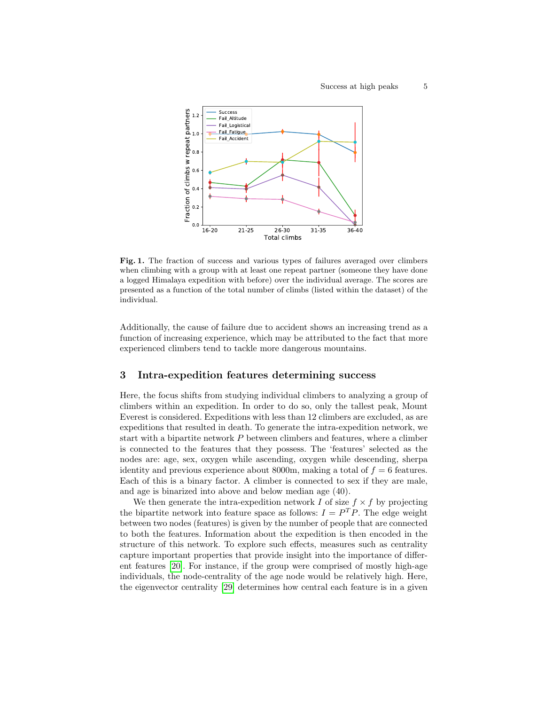

<span id="page-4-0"></span>Fig. 1. The fraction of success and various types of failures averaged over climbers when climbing with a group with at least one repeat partner (someone they have done a logged Himalaya expedition with before) over the individual average. The scores are presented as a function of the total number of climbs (listed within the dataset) of the individual.

Additionally, the cause of failure due to accident shows an increasing trend as a function of increasing experience, which may be attributed to the fact that more experienced climbers tend to tackle more dangerous mountains.

#### <span id="page-4-1"></span>3 Intra-expedition features determining success

Here, the focus shifts from studying individual climbers to analyzing a group of climbers within an expedition. In order to do so, only the tallest peak, Mount Everest is considered. Expeditions with less than 12 climbers are excluded, as are expeditions that resulted in death. To generate the intra-expedition network, we start with a bipartite network P between climbers and features, where a climber is connected to the features that they possess. The 'features' selected as the nodes are: age, sex, oxygen while ascending, oxygen while descending, sherpa identity and previous experience about 8000m, making a total of  $f = 6$  features. Each of this is a binary factor. A climber is connected to sex if they are male, and age is binarized into above and below median age (40).

We then generate the intra-expedition network I of size  $f \times f$  by projecting the bipartite network into feature space as follows:  $I = P<sup>T</sup>P$ . The edge weight between two nodes (features) is given by the number of people that are connected to both the features. Information about the expedition is then encoded in the structure of this network. To explore such effects, measures such as centrality capture important properties that provide insight into the importance of different features [\[20\]](#page-11-10). For instance, if the group were comprised of mostly high-age individuals, the node-centrality of the age node would be relatively high. Here, the eigenvector centrality [\[29\]](#page-11-12) determines how central each feature is in a given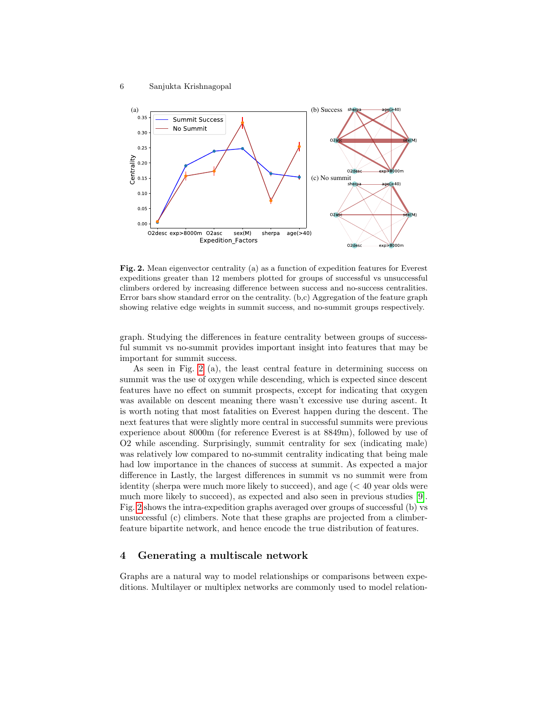

<span id="page-5-0"></span>Fig. 2. Mean eigenvector centrality (a) as a function of expedition features for Everest expeditions greater than 12 members plotted for groups of successful vs unsuccessful climbers ordered by increasing difference between success and no-success centralities. Error bars show standard error on the centrality. (b,c) Aggregation of the feature graph showing relative edge weights in summit success, and no-summit groups respectively.

graph. Studying the differences in feature centrality between groups of successful summit vs no-summit provides important insight into features that may be important for summit success.

As seen in Fig. [2](#page-5-0) (a), the least central feature in determining success on summit was the use of oxygen while descending, which is expected since descent features have no effect on summit prospects, except for indicating that oxygen was available on descent meaning there wasn't excessive use during ascent. It is worth noting that most fatalities on Everest happen during the descent. The next features that were slightly more central in successful summits were previous experience about 8000m (for reference Everest is at 8849m), followed by use of O2 while ascending. Surprisingly, summit centrality for sex (indicating male) was relatively low compared to no-summit centrality indicating that being male had low importance in the chances of success at summit. As expected a major difference in Lastly, the largest differences in summit vs no summit were from identity (sherpa were much more likely to succeed), and age  $( $40$  year olds were$ much more likely to succeed), as expected and also seen in previous studies [\[9\]](#page-10-1). Fig. [2](#page-5-0) shows the intra-expedition graphs averaged over groups of successful (b) vs unsuccessful (c) climbers. Note that these graphs are projected from a climberfeature bipartite network, and hence encode the true distribution of features.

## <span id="page-5-1"></span>4 Generating a multiscale network

Graphs are a natural way to model relationships or comparisons between expeditions. Multilayer or multiplex networks are commonly used to model relation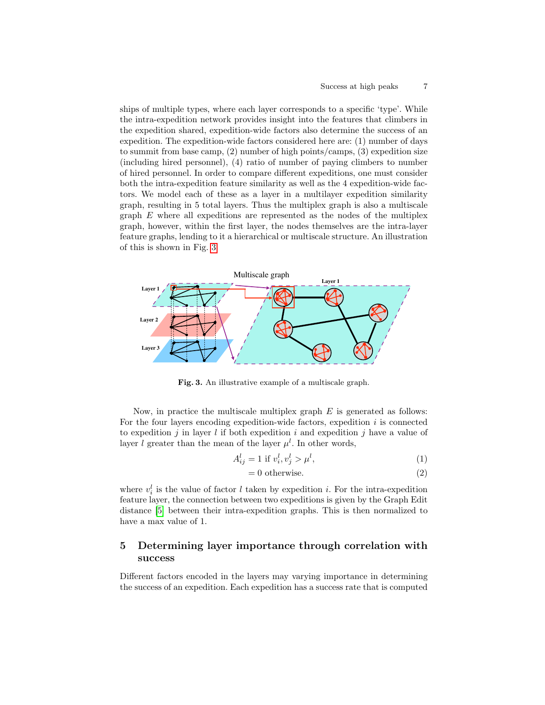ships of multiple types, where each layer corresponds to a specific 'type'. While the intra-expedition network provides insight into the features that climbers in the expedition shared, expedition-wide factors also determine the success of an expedition. The expedition-wide factors considered here are: (1) number of days to summit from base camp, (2) number of high points/camps, (3) expedition size (including hired personnel), (4) ratio of number of paying climbers to number of hired personnel. In order to compare different expeditions, one must consider both the intra-expedition feature similarity as well as the 4 expedition-wide factors. We model each of these as a layer in a multilayer expedition similarity graph, resulting in 5 total layers. Thus the multiplex graph is also a multiscale graph  $E$  where all expeditions are represented as the nodes of the multiplex graph, however, within the first layer, the nodes themselves are the intra-layer feature graphs, lending to it a hierarchical or multiscale structure. An illustration of this is shown in Fig. [3.](#page-6-0)



<span id="page-6-0"></span>Fig. 3. An illustrative example of a multiscale graph.

Now, in practice the multiscale multiplex graph  $E$  is generated as follows: For the four layers encoding expedition-wide factors, expedition  $i$  is connected to expedition j in layer l if both expedition i and expedition j have a value of layer l greater than the mean of the layer  $\mu^{l}$ . In other words,

$$
A_{ij}^l = 1 \text{ if } v_i^l, v_j^l > \mu^l,\tag{1}
$$

$$
= 0 \text{ otherwise.} \tag{2}
$$

where  $v_i^l$  is the value of factor l taken by expedition i. For the intra-expedition feature layer, the connection between two expeditions is given by the Graph Edit distance [\[5\]](#page-10-13) between their intra-expedition graphs. This is then normalized to have a max value of 1.

# 5 Determining layer importance through correlation with success

Different factors encoded in the layers may varying importance in determining the success of an expedition. Each expedition has a success rate that is computed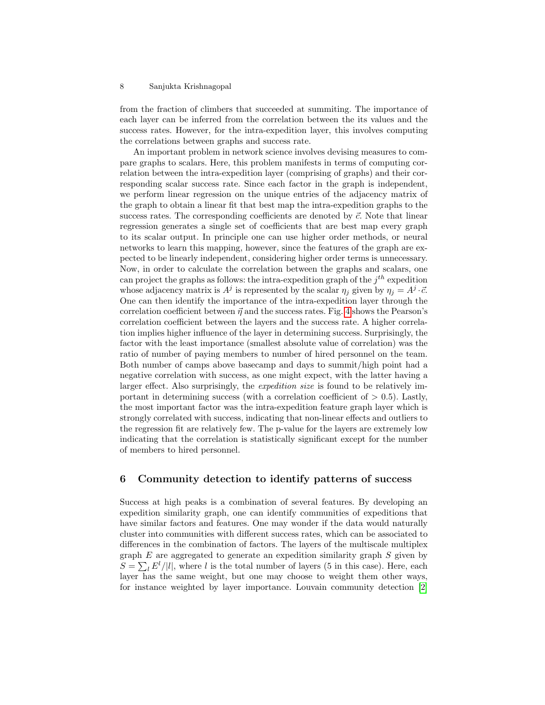#### 8 Sanjukta Krishnagopal

from the fraction of climbers that succeeded at summiting. The importance of each layer can be inferred from the correlation between the its values and the success rates. However, for the intra-expedition layer, this involves computing the correlations between graphs and success rate.

An important problem in network science involves devising measures to compare graphs to scalars. Here, this problem manifests in terms of computing correlation between the intra-expedition layer (comprising of graphs) and their corresponding scalar success rate. Since each factor in the graph is independent, we perform linear regression on the unique entries of the adjacency matrix of the graph to obtain a linear fit that best map the intra-expedition graphs to the success rates. The corresponding coefficients are denoted by  $\vec{c}$ . Note that linear regression generates a single set of coefficients that are best map every graph to its scalar output. In principle one can use higher order methods, or neural networks to learn this mapping, however, since the features of the graph are expected to be linearly independent, considering higher order terms is unnecessary. Now, in order to calculate the correlation between the graphs and scalars, one can project the graphs as follows: the intra-expedition graph of the  $j^{th}$  expedition whose adjacency matrix is  $A^j$  is represented by the scalar  $\eta_j$  given by  $\eta_j = A^j \cdot \vec{c}$ . One can then identify the importance of the intra-expedition layer through the correlation coefficient between  $\vec{\eta}$  and the success rates. Fig. [4](#page-8-0) shows the Pearson's correlation coefficient between the layers and the success rate. A higher correlation implies higher influence of the layer in determining success. Surprisingly, the factor with the least importance (smallest absolute value of correlation) was the ratio of number of paying members to number of hired personnel on the team. Both number of camps above basecamp and days to summit/high point had a negative correlation with success, as one might expect, with the latter having a larger effect. Also surprisingly, the expedition size is found to be relatively important in determining success (with a correlation coefficient of  $> 0.5$ ). Lastly, the most important factor was the intra-expedition feature graph layer which is strongly correlated with success, indicating that non-linear effects and outliers to the regression fit are relatively few. The p-value for the layers are extremely low indicating that the correlation is statistically significant except for the number of members to hired personnel.

# 6 Community detection to identify patterns of success

Success at high peaks is a combination of several features. By developing an expedition similarity graph, one can identify communities of expeditions that have similar factors and features. One may wonder if the data would naturally cluster into communities with different success rates, which can be associated to differences in the combination of factors. The layers of the multiscale multiplex graph  $E$  are aggregated to generate an expedition similarity graph  $S$  given by  $S = \sum_l E^l / |l|$ , where l is the total number of layers (5 in this case). Here, each layer has the same weight, but one may choose to weight them other ways, for instance weighted by layer importance. Louvain community detection [\[2\]](#page-10-18)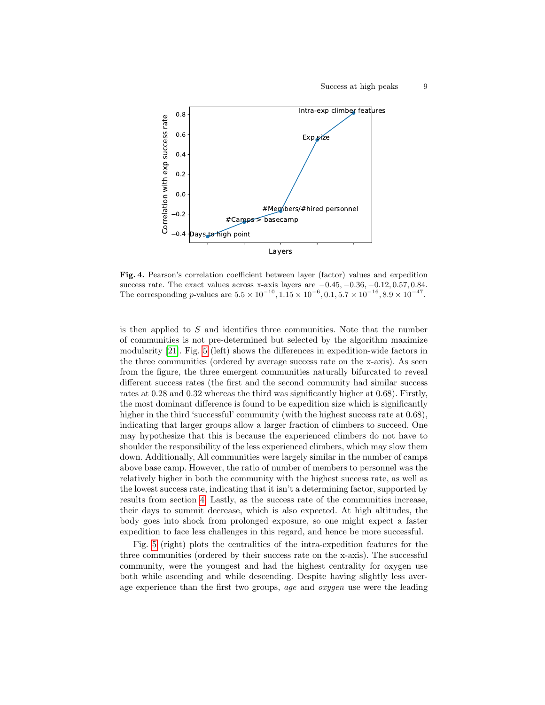

<span id="page-8-0"></span>Fig. 4. Pearson's correlation coefficient between layer (factor) values and expedition success rate. The exact values across x-axis layers are  $-0.45, -0.36, -0.12, 0.57, 0.84$ . The corresponding p-values are  $5.5 \times 10^{-10}$ ,  $1.15 \times 10^{-6}$ ,  $0.1, 5.7 \times 10^{-16}$ ,  $8.9 \times 10^{-47}$ .

is then applied to  $S$  and identifies three communities. Note that the number of communities is not pre-determined but selected by the algorithm maximize modularity [\[21\]](#page-11-17). Fig. [5](#page-9-0) (left) shows the differences in expedition-wide factors in the three communities (ordered by average success rate on the x-axis). As seen from the figure, the three emergent communities naturally bifurcated to reveal different success rates (the first and the second community had similar success rates at 0.28 and 0.32 whereas the third was significantly higher at 0.68). Firstly, the most dominant difference is found to be expedition size which is significantly higher in the third 'successful' community (with the highest success rate at  $(0.68)$ , indicating that larger groups allow a larger fraction of climbers to succeed. One may hypothesize that this is because the experienced climbers do not have to shoulder the responsibility of the less experienced climbers, which may slow them down. Additionally, All communities were largely similar in the number of camps above base camp. However, the ratio of number of members to personnel was the relatively higher in both the community with the highest success rate, as well as the lowest success rate, indicating that it isn't a determining factor, supported by results from section [4.](#page-5-1) Lastly, as the success rate of the communities increase, their days to summit decrease, which is also expected. At high altitudes, the body goes into shock from prolonged exposure, so one might expect a faster expedition to face less challenges in this regard, and hence be more successful.

Fig. [5](#page-9-0) (right) plots the centralities of the intra-expedition features for the three communities (ordered by their success rate on the x-axis). The successful community, were the youngest and had the highest centrality for oxygen use both while ascending and while descending. Despite having slightly less average experience than the first two groups, *age* and *oxygen* use were the leading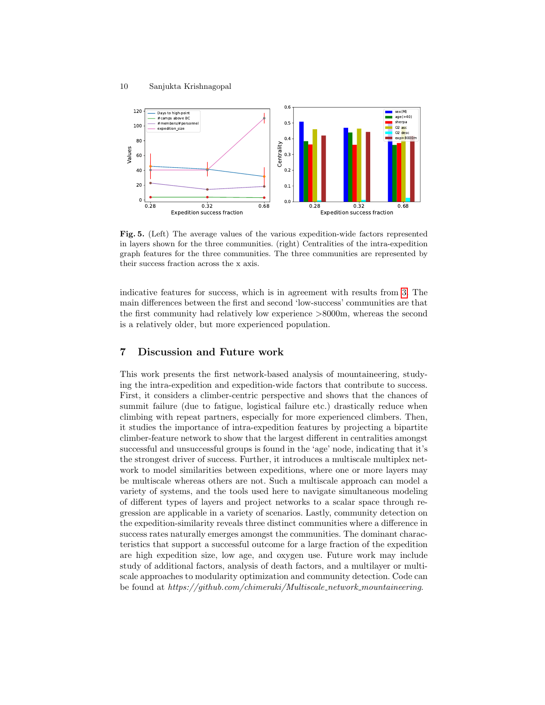

<span id="page-9-0"></span>Fig. 5. (Left) The average values of the various expedition-wide factors represented in layers shown for the three communities. (right) Centralities of the intra-expedition graph features for the three communities. The three communities are represented by their success fraction across the x axis.

indicative features for success, which is in agreement with results from [3.](#page-4-1) The main differences between the first and second 'low-success' communities are that the first community had relatively low experience >8000m, whereas the second is a relatively older, but more experienced population.

# 7 Discussion and Future work

This work presents the first network-based analysis of mountaineering, studying the intra-expedition and expedition-wide factors that contribute to success. First, it considers a climber-centric perspective and shows that the chances of summit failure (due to fatigue, logistical failure etc.) drastically reduce when climbing with repeat partners, especially for more experienced climbers. Then, it studies the importance of intra-expedition features by projecting a bipartite climber-feature network to show that the largest different in centralities amongst successful and unsuccessful groups is found in the 'age' node, indicating that it's the strongest driver of success. Further, it introduces a multiscale multiplex network to model similarities between expeditions, where one or more layers may be multiscale whereas others are not. Such a multiscale approach can model a variety of systems, and the tools used here to navigate simultaneous modeling of different types of layers and project networks to a scalar space through regression are applicable in a variety of scenarios. Lastly, community detection on the expedition-similarity reveals three distinct communities where a difference in success rates naturally emerges amongst the communities. The dominant characteristics that support a successful outcome for a large fraction of the expedition are high expedition size, low age, and oxygen use. Future work may include study of additional factors, analysis of death factors, and a multilayer or multiscale approaches to modularity optimization and community detection. Code can be found at https://github.com/chimeraki/Multiscale network mountaineering.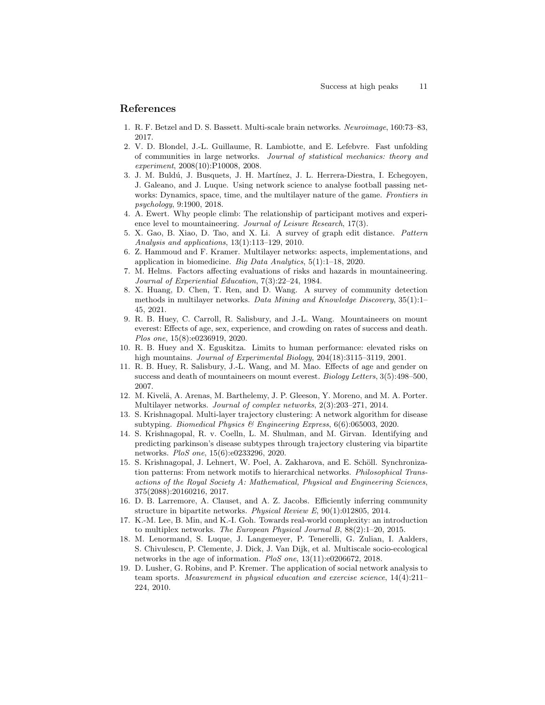### References

- <span id="page-10-15"></span>1. R. F. Betzel and D. S. Bassett. Multi-scale brain networks. Neuroimage, 160:73–83, 2017.
- <span id="page-10-18"></span>2. V. D. Blondel, J.-L. Guillaume, R. Lambiotte, and E. Lefebvre. Fast unfolding of communities in large networks. Journal of statistical mechanics: theory and experiment, 2008(10):P10008, 2008.
- <span id="page-10-10"></span>3. J. M. Buldú, J. Busquets, J. H. Martínez, J. L. Herrera-Diestra, I. Echegoyen, J. Galeano, and J. Luque. Using network science to analyse football passing networks: Dynamics, space, time, and the multilayer nature of the game. Frontiers in psychology, 9:1900, 2018.
- <span id="page-10-4"></span>4. A. Ewert. Why people climb: The relationship of participant motives and experience level to mountaineering. Journal of Leisure Research, 17(3).
- <span id="page-10-13"></span>5. X. Gao, B. Xiao, D. Tao, and X. Li. A survey of graph edit distance. Pattern Analysis and applications, 13(1):113–129, 2010.
- <span id="page-10-11"></span>6. Z. Hammoud and F. Kramer. Multilayer networks: aspects, implementations, and application in biomedicine. Big Data Analytics, 5(1):1–18, 2020.
- <span id="page-10-3"></span>7. M. Helms. Factors affecting evaluations of risks and hazards in mountaineering. Journal of Experiential Education, 7(3):22–24, 1984.
- <span id="page-10-17"></span>8. X. Huang, D. Chen, T. Ren, and D. Wang. A survey of community detection methods in multilayer networks. Data Mining and Knowledge Discovery, 35(1):1– 45, 2021.
- <span id="page-10-1"></span>9. R. B. Huey, C. Carroll, R. Salisbury, and J.-L. Wang. Mountaineers on mount everest: Effects of age, sex, experience, and crowding on rates of success and death. Plos one, 15(8):e0236919, 2020.
- <span id="page-10-2"></span>10. R. B. Huey and X. Eguskitza. Limits to human performance: elevated risks on high mountains. Journal of Experimental Biology, 204(18):3115–3119, 2001.
- <span id="page-10-0"></span>11. R. B. Huey, R. Salisbury, J.-L. Wang, and M. Mao. Effects of age and gender on success and death of mountaineers on mount everest. Biology Letters, 3(5):498–500, 2007.
- <span id="page-10-9"></span>12. M. Kivelä, A. Arenas, M. Barthelemy, J. P. Gleeson, Y. Moreno, and M. A. Porter. Multilayer networks. Journal of complex networks, 2(3):203–271, 2014.
- <span id="page-10-5"></span>13. S. Krishnagopal. Multi-layer trajectory clustering: A network algorithm for disease subtyping. Biomedical Physics & Engineering Express, 6(6):065003, 2020.
- <span id="page-10-7"></span>14. S. Krishnagopal, R. v. Coelln, L. M. Shulman, and M. Girvan. Identifying and predicting parkinson's disease subtypes through trajectory clustering via bipartite networks. PloS one, 15(6):e0233296, 2020.
- <span id="page-10-14"></span>15. S. Krishnagopal, J. Lehnert, W. Poel, A. Zakharova, and E. Schöll. Synchronization patterns: From network motifs to hierarchical networks. Philosophical Transactions of the Royal Society A: Mathematical, Physical and Engineering Sciences, 375(2088):20160216, 2017.
- <span id="page-10-8"></span>16. D. B. Larremore, A. Clauset, and A. Z. Jacobs. Efficiently inferring community structure in bipartite networks. Physical Review E, 90(1):012805, 2014.
- <span id="page-10-12"></span>17. K.-M. Lee, B. Min, and K.-I. Goh. Towards real-world complexity: an introduction to multiplex networks. The European Physical Journal B, 88(2):1–20, 2015.
- <span id="page-10-16"></span>18. M. Lenormand, S. Luque, J. Langemeyer, P. Tenerelli, G. Zulian, I. Aalders, S. Chivulescu, P. Clemente, J. Dick, J. Van Dijk, et al. Multiscale socio-ecological networks in the age of information. PloS one, 13(11):e0206672, 2018.
- <span id="page-10-6"></span>19. D. Lusher, G. Robins, and P. Kremer. The application of social network analysis to team sports. Measurement in physical education and exercise science, 14(4):211– 224, 2010.